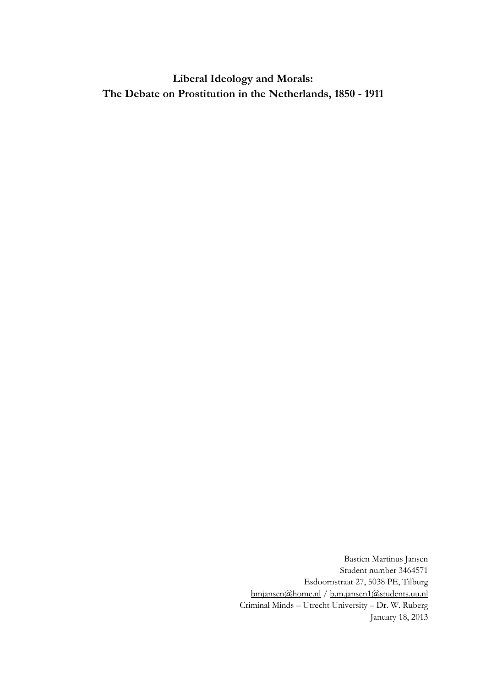**Liberal Ideology and Morals: The Debate on Prostitution in the Netherlands, 1850 - 1911**

> Bastien Martinus Jansen Student number 3464571 Esdoornstraat 27, 5038 PE, Tilburg [bmjansen@home.nl](mailto:bmjansen@home.nl) / [b.m.jansen1@students.uu.nl](mailto:b.m.jansen1@students.uu.nl) Criminal Minds – Utrecht University – Dr. W. Ruberg January 18, 2013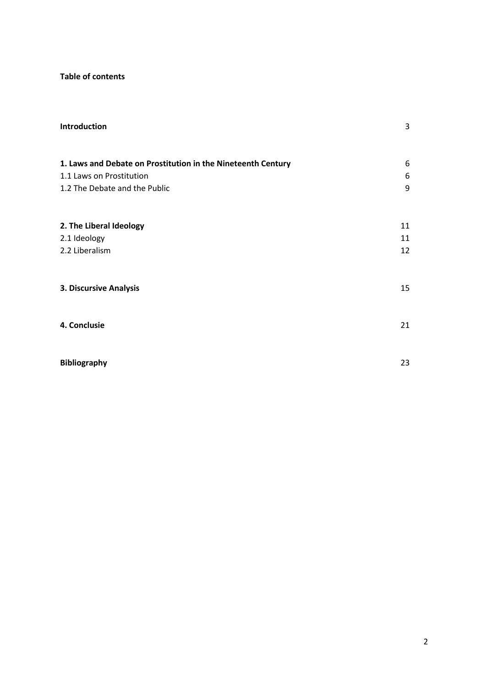# **Table of contents**

| Introduction                                                 | 3  |
|--------------------------------------------------------------|----|
| 1. Laws and Debate on Prostitution in the Nineteenth Century | 6  |
| 1.1 Laws on Prostitution                                     | 6  |
| 1.2 The Debate and the Public                                | 9  |
| 2. The Liberal Ideology                                      | 11 |
| 2.1 Ideology                                                 | 11 |
| 2.2 Liberalism                                               | 12 |
| 3. Discursive Analysis                                       | 15 |
| 4. Conclusie                                                 | 21 |
| <b>Bibliography</b>                                          | 23 |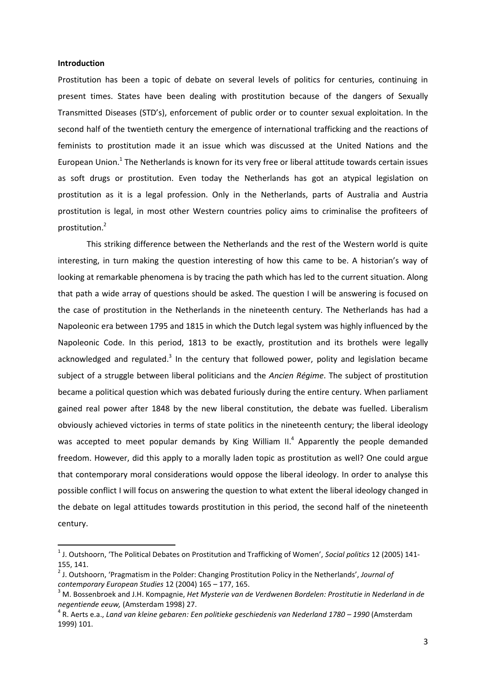## **Introduction**

 $\overline{\phantom{a}}$ 

Prostitution has been a topic of debate on several levels of politics for centuries, continuing in present times. States have been dealing with prostitution because of the dangers of Sexually Transmitted Diseases (STD's), enforcement of public order or to counter sexual exploitation. In the second half of the twentieth century the emergence of international trafficking and the reactions of feminists to prostitution made it an issue which was discussed at the United Nations and the European Union.<sup>1</sup> The Netherlands is known for its very free or liberal attitude towards certain issues as soft drugs or prostitution. Even today the Netherlands has got an atypical legislation on prostitution as it is a legal profession. Only in the Netherlands, parts of Australia and Austria prostitution is legal, in most other Western countries policy aims to criminalise the profiteers of prostitution.<sup>2</sup>

This striking difference between the Netherlands and the rest of the Western world is quite interesting, in turn making the question interesting of how this came to be. A historian's way of looking at remarkable phenomena is by tracing the path which has led to the current situation. Along that path a wide array of questions should be asked. The question I will be answering is focused on the case of prostitution in the Netherlands in the nineteenth century. The Netherlands has had a Napoleonic era between 1795 and 1815 in which the Dutch legal system was highly influenced by the Napoleonic Code. In this period, 1813 to be exactly, prostitution and its brothels were legally acknowledged and regulated.<sup>3</sup> In the century that followed power, polity and legislation became subject of a struggle between liberal politicians and the *Ancien Régime*. The subject of prostitution became a political question which was debated furiously during the entire century. When parliament gained real power after 1848 by the new liberal constitution, the debate was fuelled. Liberalism obviously achieved victories in terms of state politics in the nineteenth century; the liberal ideology was accepted to meet popular demands by King William II.<sup>4</sup> Apparently the people demanded freedom. However, did this apply to a morally laden topic as prostitution as well? One could argue that contemporary moral considerations would oppose the liberal ideology. In order to analyse this possible conflict I will focus on answering the question to what extent the liberal ideology changed in the debate on legal attitudes towards prostitution in this period, the second half of the nineteenth century.

<sup>1</sup> J. Outshoorn, 'The Political Debates on Prostitution and Trafficking of Women', *Social politics* 12 (2005) 141- 155, 141.

<sup>2</sup> J. Outshoorn, 'Pragmatism in the Polder: Changing Prostitution Policy in the Netherlands', *Journal of contemporary European Studies* 12 (2004) 165 – 177, 165.

<sup>3</sup> M. Bossenbroek and J.H. Kompagnie, *Het Mysterie van de Verdwenen Bordelen: Prostitutie in Nederland in de negentiende eeuw,* (Amsterdam 1998) 27.

<sup>&</sup>lt;sup>4</sup> R. Aerts e.a., *Land van kleine gebaren: Een politieke geschiedenis van Nederland 1780 – 1990 (Amsterdam* 1999) 101.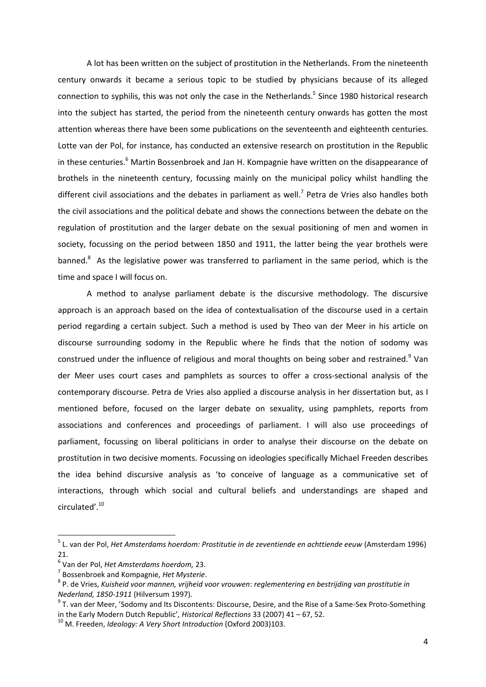A lot has been written on the subject of prostitution in the Netherlands. From the nineteenth century onwards it became a serious topic to be studied by physicians because of its alleged connection to syphilis, this was not only the case in the Netherlands.<sup>5</sup> Since 1980 historical research into the subject has started, the period from the nineteenth century onwards has gotten the most attention whereas there have been some publications on the seventeenth and eighteenth centuries. Lotte van der Pol, for instance, has conducted an extensive research on prostitution in the Republic in these centuries. $6$  Martin Bossenbroek and Jan H. Kompagnie have written on the disappearance of brothels in the nineteenth century, focussing mainly on the municipal policy whilst handling the different civil associations and the debates in parliament as well.<sup>7</sup> Petra de Vries also handles both the civil associations and the political debate and shows the connections between the debate on the regulation of prostitution and the larger debate on the sexual positioning of men and women in society, focussing on the period between 1850 and 1911, the latter being the year brothels were banned.<sup>8</sup> As the legislative power was transferred to parliament in the same period, which is the time and space I will focus on.

A method to analyse parliament debate is the discursive methodology. The discursive approach is an approach based on the idea of contextualisation of the discourse used in a certain period regarding a certain subject. Such a method is used by Theo van der Meer in his article on discourse surrounding sodomy in the Republic where he finds that the notion of sodomy was construed under the influence of religious and moral thoughts on being sober and restrained.<sup>9</sup> Van der Meer uses court cases and pamphlets as sources to offer a cross-sectional analysis of the contemporary discourse. Petra de Vries also applied a discourse analysis in her dissertation but, as I mentioned before, focused on the larger debate on sexuality, using pamphlets, reports from associations and conferences and proceedings of parliament. I will also use proceedings of parliament, focussing on liberal politicians in order to analyse their discourse on the debate on prostitution in two decisive moments. Focussing on ideologies specifically Michael Freeden describes the idea behind discursive analysis as 'to conceive of language as a communicative set of interactions, through which social and cultural beliefs and understandings are shaped and circulated'.<sup>10</sup>

 $\overline{a}$ 

<sup>5</sup> L. van der Pol, *Het Amsterdams hoerdom: Prostitutie in de zeventiende en achttiende eeuw* (Amsterdam 1996) 21.

<sup>6</sup> Van der Pol, *Het Amsterdams hoerdom,* 23.

<sup>7</sup> Bossenbroek and Kompagnie, *Het Mysterie*.

<sup>8</sup> P. de Vries, *Kuisheid voor mannen, vrijheid voor vrouwen*: *reglementering en bestrijding van prostitutie in Nederland, 1850-1911* (Hilversum 1997).

 $^9$  T. van der Meer, 'Sodomy and Its Discontents: Discourse, Desire, and the Rise of a Same-Sex Proto-Something in the Early Modern Dutch Republic', *Historical Reflections* 33 (2007) 41 – 67, 52.

<sup>10</sup> M. Freeden, *Ideology: A Very Short Introduction* (Oxford 2003)103.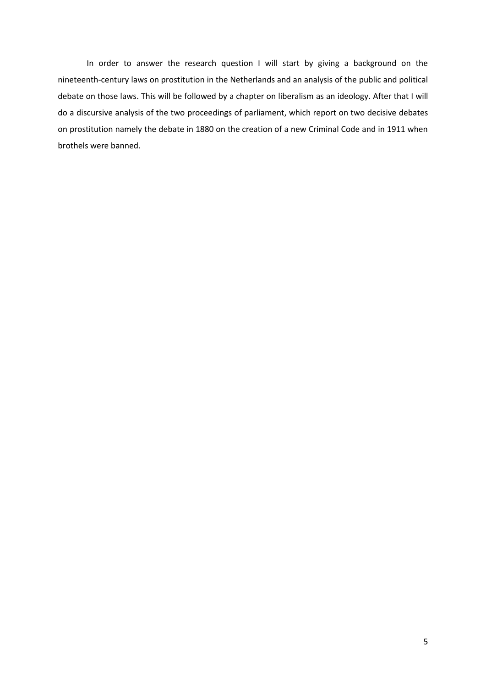In order to answer the research question I will start by giving a background on the nineteenth-century laws on prostitution in the Netherlands and an analysis of the public and political debate on those laws. This will be followed by a chapter on liberalism as an ideology. After that I will do a discursive analysis of the two proceedings of parliament, which report on two decisive debates on prostitution namely the debate in 1880 on the creation of a new Criminal Code and in 1911 when brothels were banned.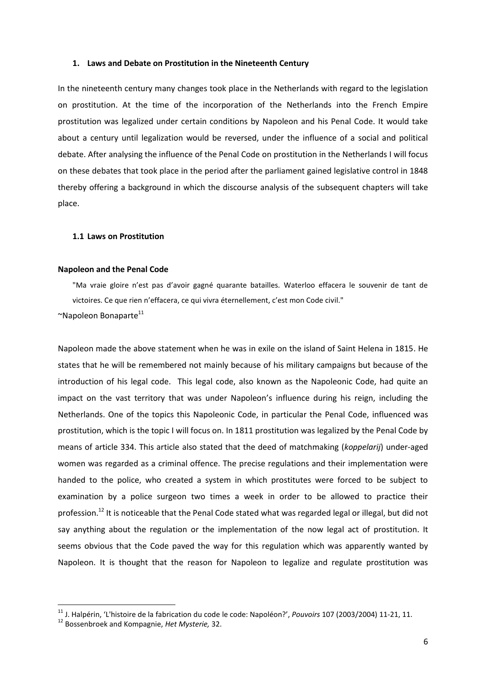## **1. Laws and Debate on Prostitution in the Nineteenth Century**

In the nineteenth century many changes took place in the Netherlands with regard to the legislation on prostitution. At the time of the incorporation of the Netherlands into the French Empire prostitution was legalized under certain conditions by Napoleon and his Penal Code. It would take about a century until legalization would be reversed, under the influence of a social and political debate. After analysing the influence of the Penal Code on prostitution in the Netherlands I will focus on these debates that took place in the period after the parliament gained legislative control in 1848 thereby offering a background in which the discourse analysis of the subsequent chapters will take place.

# **1.1 Laws on Prostitution**

### **Napoleon and the Penal Code**

"Ma vraie gloire n'est pas d'avoir gagné quarante batailles. Waterloo effacera le souvenir de tant de victoires. Ce que rien n'effacera, ce qui vivra éternellement, c'est mon Code civil."

 $~\sim$ Napoleon Bonaparte<sup>11</sup>

Napoleon made the above statement when he was in exile on the island of Saint Helena in 1815. He states that he will be remembered not mainly because of his military campaigns but because of the introduction of his legal code. This legal code, also known as the Napoleonic Code, had quite an impact on the vast territory that was under Napoleon's influence during his reign, including the Netherlands. One of the topics this Napoleonic Code, in particular the Penal Code, influenced was prostitution, which is the topic I will focus on. In 1811 prostitution was legalized by the Penal Code by means of article 334. This article also stated that the deed of matchmaking (*koppelarij*) under-aged women was regarded as a criminal offence. The precise regulations and their implementation were handed to the police, who created a system in which prostitutes were forced to be subject to examination by a police surgeon two times a week in order to be allowed to practice their profession.<sup>12</sup> It is noticeable that the Penal Code stated what was regarded legal or illegal, but did not say anything about the regulation or the implementation of the now legal act of prostitution. It seems obvious that the Code paved the way for this regulation which was apparently wanted by Napoleon. It is thought that the reason for Napoleon to legalize and regulate prostitution was

 $\overline{a}$ 

<sup>11</sup> J. Halpérin, 'L'histoire de la fabrication du code le code: Napoléon?', *Pouvoirs* 107 (2003/2004) 11-21, 11.

<sup>12</sup> Bossenbroek and Kompagnie, *Het Mysterie,* 32.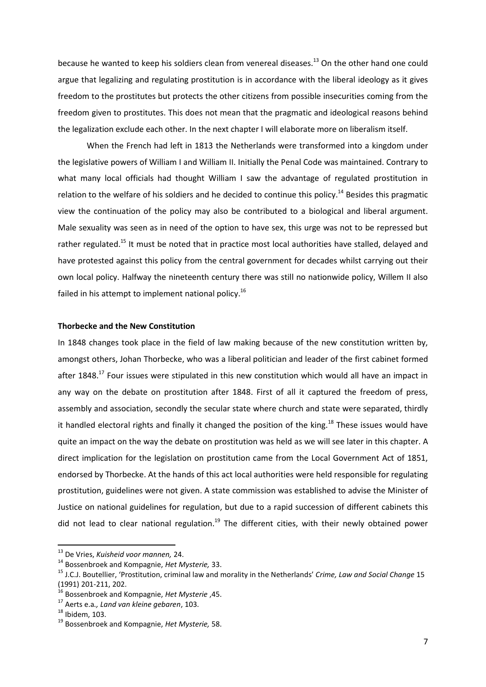because he wanted to keep his soldiers clean from venereal diseases.<sup>13</sup> On the other hand one could argue that legalizing and regulating prostitution is in accordance with the liberal ideology as it gives freedom to the prostitutes but protects the other citizens from possible insecurities coming from the freedom given to prostitutes. This does not mean that the pragmatic and ideological reasons behind the legalization exclude each other. In the next chapter I will elaborate more on liberalism itself.

When the French had left in 1813 the Netherlands were transformed into a kingdom under the legislative powers of William I and William II. Initially the Penal Code was maintained. Contrary to what many local officials had thought William I saw the advantage of regulated prostitution in relation to the welfare of his soldiers and he decided to continue this policy.<sup>14</sup> Besides this pragmatic view the continuation of the policy may also be contributed to a biological and liberal argument. Male sexuality was seen as in need of the option to have sex, this urge was not to be repressed but rather regulated.<sup>15</sup> It must be noted that in practice most local authorities have stalled, delayed and have protested against this policy from the central government for decades whilst carrying out their own local policy. Halfway the nineteenth century there was still no nationwide policy, Willem II also failed in his attempt to implement national policy.<sup>16</sup>

# **Thorbecke and the New Constitution**

In 1848 changes took place in the field of law making because of the new constitution written by, amongst others, Johan Thorbecke, who was a liberal politician and leader of the first cabinet formed after 1848.<sup>17</sup> Four issues were stipulated in this new constitution which would all have an impact in any way on the debate on prostitution after 1848. First of all it captured the freedom of press, assembly and association, secondly the secular state where church and state were separated, thirdly it handled electoral rights and finally it changed the position of the king.<sup>18</sup> These issues would have quite an impact on the way the debate on prostitution was held as we will see later in this chapter. A direct implication for the legislation on prostitution came from the Local Government Act of 1851, endorsed by Thorbecke. At the hands of this act local authorities were held responsible for regulating prostitution, guidelines were not given. A state commission was established to advise the Minister of Justice on national guidelines for regulation, but due to a rapid succession of different cabinets this did not lead to clear national regulation.<sup>19</sup> The different cities, with their newly obtained power

<sup>13</sup> De Vries, *Kuisheid voor mannen,* 24.

<sup>14</sup> Bossenbroek and Kompagnie, *Het Mysterie,* 33.

<sup>15</sup> J.C.J. Boutellier, 'Prostitution, criminal law and morality in the Netherlands' *Crime, Law and Social Change* 15 (1991) 201-211, 202.

<sup>16</sup> Bossenbroek and Kompagnie, *Het Mysterie* ,45.

<sup>17</sup> Aerts e.a*., Land van kleine gebaren*, 103.

 $18$  Ibidem, 103.

<sup>19</sup> Bossenbroek and Kompagnie, *Het Mysterie,* 58.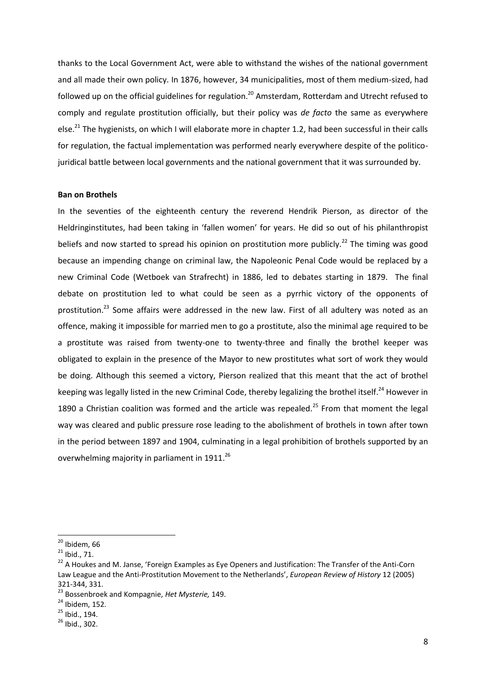thanks to the Local Government Act, were able to withstand the wishes of the national government and all made their own policy. In 1876, however, 34 municipalities, most of them medium-sized, had followed up on the official guidelines for regulation.<sup>20</sup> Amsterdam, Rotterdam and Utrecht refused to comply and regulate prostitution officially, but their policy was *de facto* the same as everywhere else.<sup>21</sup> The hygienists, on which I will elaborate more in chapter 1.2, had been successful in their calls for regulation, the factual implementation was performed nearly everywhere despite of the politicojuridical battle between local governments and the national government that it was surrounded by.

## **Ban on Brothels**

In the seventies of the eighteenth century the reverend Hendrik Pierson, as director of the Heldringinstitutes, had been taking in 'fallen women' for years. He did so out of his philanthropist beliefs and now started to spread his opinion on prostitution more publicly.<sup>22</sup> The timing was good because an impending change on criminal law, the Napoleonic Penal Code would be replaced by a new Criminal Code (Wetboek van Strafrecht) in 1886, led to debates starting in 1879. The final debate on prostitution led to what could be seen as a pyrrhic victory of the opponents of prostitution.<sup>23</sup> Some affairs were addressed in the new law. First of all adultery was noted as an offence, making it impossible for married men to go a prostitute, also the minimal age required to be a prostitute was raised from twenty-one to twenty-three and finally the brothel keeper was obligated to explain in the presence of the Mayor to new prostitutes what sort of work they would be doing. Although this seemed a victory, Pierson realized that this meant that the act of brothel keeping was legally listed in the new Criminal Code, thereby legalizing the brothel itself.<sup>24</sup> However in 1890 a Christian coalition was formed and the article was repealed.<sup>25</sup> From that moment the legal way was cleared and public pressure rose leading to the abolishment of brothels in town after town in the period between 1897 and 1904, culminating in a legal prohibition of brothels supported by an overwhelming majority in parliament in 1911.<sup>26</sup>

 $\overline{a}$ 

 $24$  Ibidem, 152.

<sup>&</sup>lt;sup>20</sup> Ibidem, 66

 $^{21}$  Ibid., 71.

<sup>22</sup> A Houkes and M. Janse, 'Foreign Examples as Eye Openers and Justification: The Transfer of the Anti-Corn Law League and the Anti-Prostitution Movement to the Netherlands', *European Review of History* 12 (2005) 321-344, 331.

<sup>23</sup> Bossenbroek and Kompagnie, *Het Mysterie,* 149.

<sup>25</sup> Ibid., 194.

<sup>26</sup> Ibid., 302.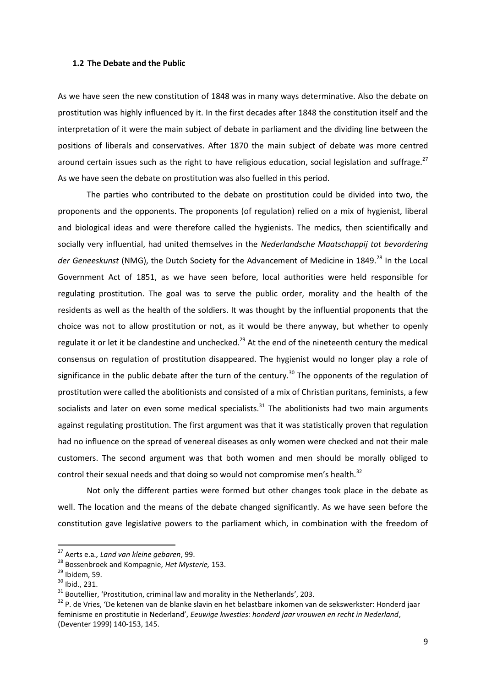### **1.2 The Debate and the Public**

As we have seen the new constitution of 1848 was in many ways determinative. Also the debate on prostitution was highly influenced by it. In the first decades after 1848 the constitution itself and the interpretation of it were the main subject of debate in parliament and the dividing line between the positions of liberals and conservatives. After 1870 the main subject of debate was more centred around certain issues such as the right to have religious education, social legislation and suffrage.<sup>27</sup> As we have seen the debate on prostitution was also fuelled in this period.

The parties who contributed to the debate on prostitution could be divided into two, the proponents and the opponents. The proponents (of regulation) relied on a mix of hygienist, liberal and biological ideas and were therefore called the hygienists. The medics, then scientifically and socially very influential, had united themselves in the *Nederlandsche Maatschappij tot bevordering*  der Geneeskunst (NMG), the Dutch Society for the Advancement of Medicine in 1849.<sup>28</sup> In the Local Government Act of 1851, as we have seen before, local authorities were held responsible for regulating prostitution. The goal was to serve the public order, morality and the health of the residents as well as the health of the soldiers. It was thought by the influential proponents that the choice was not to allow prostitution or not, as it would be there anyway, but whether to openly regulate it or let it be clandestine and unchecked.<sup>29</sup> At the end of the nineteenth century the medical consensus on regulation of prostitution disappeared. The hygienist would no longer play a role of significance in the public debate after the turn of the century.<sup>30</sup> The opponents of the regulation of prostitution were called the abolitionists and consisted of a mix of Christian puritans, feminists, a few socialists and later on even some medical specialists. $31$  The abolitionists had two main arguments against regulating prostitution. The first argument was that it was statistically proven that regulation had no influence on the spread of venereal diseases as only women were checked and not their male customers. The second argument was that both women and men should be morally obliged to control their sexual needs and that doing so would not compromise men's health. $32$ 

Not only the different parties were formed but other changes took place in the debate as well. The location and the means of the debate changed significantly. As we have seen before the constitution gave legislative powers to the parliament which, in combination with the freedom of

<sup>27</sup> Aerts e.a*., Land van kleine gebaren*, 99.

<sup>28</sup> Bossenbroek and Kompagnie, *Het Mysterie,* 153.

 $29$  Ibidem, 59.

<sup>30</sup> Ibid., 231.

 $31$  Boutellier, 'Prostitution, criminal law and morality in the Netherlands', 203.

<sup>&</sup>lt;sup>32</sup> P. de Vries, 'De ketenen van de blanke slavin en het belastbare inkomen van de sekswerkster: Honderd jaar feminisme en prostitutie in Nederland', *Eeuwige kwesties: honderd jaar vrouwen en recht in Nederland*, (Deventer 1999) 140-153, 145.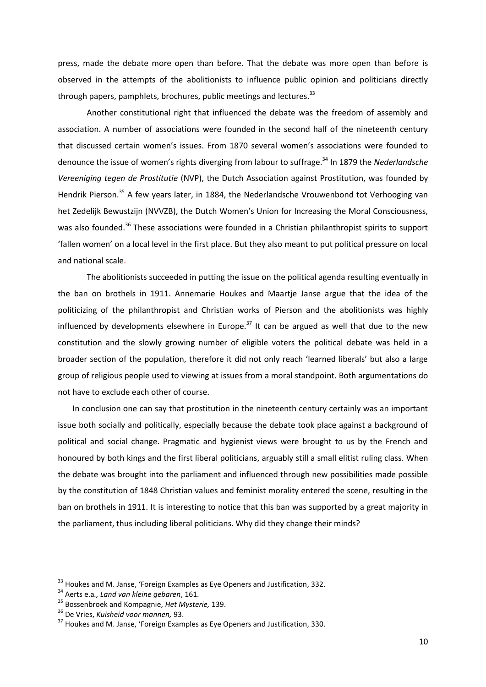press, made the debate more open than before. That the debate was more open than before is observed in the attempts of the abolitionists to influence public opinion and politicians directly through papers, pamphlets, brochures, public meetings and lectures.  $33$ 

Another constitutional right that influenced the debate was the freedom of assembly and association. A number of associations were founded in the second half of the nineteenth century that discussed certain women's issues. From 1870 several women's associations were founded to denounce the issue of women's rights diverging from labour to suffrage.<sup>34</sup> In 1879 the *Nederlandsche Vereeniging tegen de Prostitutie* (NVP), the Dutch Association against Prostitution, was founded by Hendrik Pierson.<sup>35</sup> A few years later, in 1884, the Nederlandsche Vrouwenbond tot Verhooging van het Zedelijk Bewustzijn (NVVZB), the Dutch Women's Union for Increasing the Moral Consciousness, was also founded.<sup>36</sup> These associations were founded in a Christian philanthropist spirits to support 'fallen women' on a local level in the first place. But they also meant to put political pressure on local and national scale.

The abolitionists succeeded in putting the issue on the political agenda resulting eventually in the ban on brothels in 1911. Annemarie Houkes and Maartje Janse argue that the idea of the politicizing of the philanthropist and Christian works of Pierson and the abolitionists was highly influenced by developments elsewhere in Europe.<sup>37</sup> It can be argued as well that due to the new constitution and the slowly growing number of eligible voters the political debate was held in a broader section of the population, therefore it did not only reach 'learned liberals' but also a large group of religious people used to viewing at issues from a moral standpoint. Both argumentations do not have to exclude each other of course.

In conclusion one can say that prostitution in the nineteenth century certainly was an important issue both socially and politically, especially because the debate took place against a background of political and social change. Pragmatic and hygienist views were brought to us by the French and honoured by both kings and the first liberal politicians, arguably still a small elitist ruling class. When the debate was brought into the parliament and influenced through new possibilities made possible by the constitution of 1848 Christian values and feminist morality entered the scene, resulting in the ban on brothels in 1911. It is interesting to notice that this ban was supported by a great majority in the parliament, thus including liberal politicians. Why did they change their minds?

 $\overline{a}$ 

<sup>&</sup>lt;sup>33</sup> Houkes and M. Janse, 'Foreign Examples as Eye Openers and Justification, 332.

<sup>34</sup> Aerts e.a*., Land van kleine gebaren*, 161.

<sup>35</sup> Bossenbroek and Kompagnie, *Het Mysterie,* 139.

<sup>36</sup> De Vries, *Kuisheid voor mannen,* 93.

<sup>&</sup>lt;sup>37</sup> Houkes and M. Janse, 'Foreign Examples as Eye Openers and Justification, 330.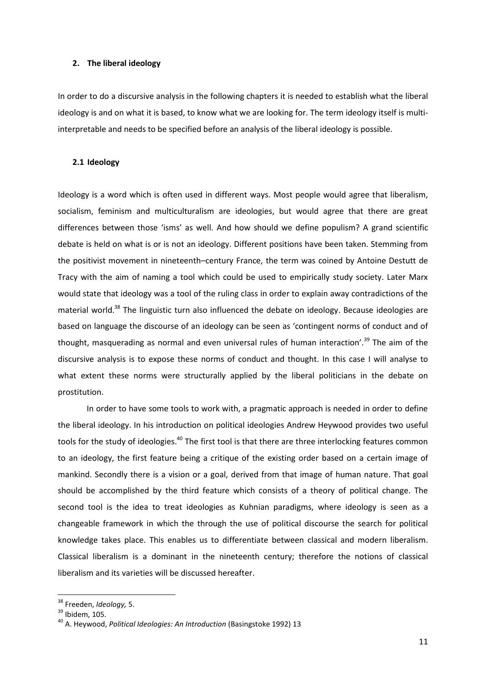## **2. The liberal ideology**

In order to do a discursive analysis in the following chapters it is needed to establish what the liberal ideology is and on what it is based, to know what we are looking for. The term ideology itself is multiinterpretable and needs to be specified before an analysis of the liberal ideology is possible.

### **2.1 Ideology**

Ideology is a word which is often used in different ways. Most people would agree that liberalism, socialism, feminism and multiculturalism are ideologies, but would agree that there are great differences between those 'isms' as well. And how should we define populism? A grand scientific debate is held on what is or is not an ideology. Different positions have been taken. Stemming from the positivist movement in nineteenth–century France, the term was coined by Antoine Destutt de Tracy with the aim of naming a tool which could be used to empirically study society. Later Marx would state that ideology was a tool of the ruling class in order to explain away contradictions of the material world.<sup>38</sup> The linguistic turn also influenced the debate on ideology. Because ideologies are based on language the discourse of an ideology can be seen as 'contingent norms of conduct and of thought, masquerading as normal and even universal rules of human interaction'.<sup>39</sup> The aim of the discursive analysis is to expose these norms of conduct and thought. In this case I will analyse to what extent these norms were structurally applied by the liberal politicians in the debate on prostitution.

In order to have some tools to work with, a pragmatic approach is needed in order to define the liberal ideology. In his introduction on political ideologies Andrew Heywood provides two useful tools for the study of ideologies.<sup>40</sup> The first tool is that there are three interlocking features common to an ideology, the first feature being a critique of the existing order based on a certain image of mankind. Secondly there is a vision or a goal, derived from that image of human nature. That goal should be accomplished by the third feature which consists of a theory of political change. The second tool is the idea to treat ideologies as Kuhnian paradigms, where ideology is seen as a changeable framework in which the through the use of political discourse the search for political knowledge takes place. This enables us to differentiate between classical and modern liberalism. Classical liberalism is a dominant in the nineteenth century; therefore the notions of classical liberalism and its varieties will be discussed hereafter.

<sup>38</sup> Freeden, *Ideology,* 5.

<sup>39</sup> Ibidem, 105.

<sup>&</sup>lt;sup>40</sup> A. Heywood, *Political Ideologies: An Introduction* (Basingstoke 1992) 13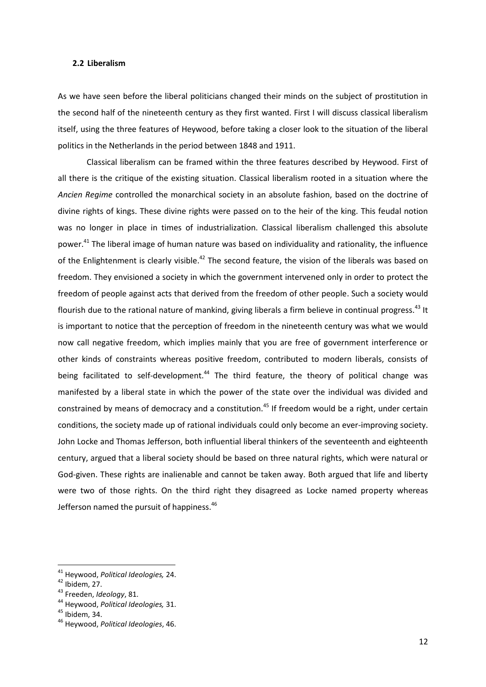## **2.2 Liberalism**

As we have seen before the liberal politicians changed their minds on the subject of prostitution in the second half of the nineteenth century as they first wanted. First I will discuss classical liberalism itself, using the three features of Heywood, before taking a closer look to the situation of the liberal politics in the Netherlands in the period between 1848 and 1911.

Classical liberalism can be framed within the three features described by Heywood. First of all there is the critique of the existing situation. Classical liberalism rooted in a situation where the *Ancien Regime* controlled the monarchical society in an absolute fashion, based on the doctrine of divine rights of kings. These divine rights were passed on to the heir of the king. This feudal notion was no longer in place in times of industrialization. Classical liberalism challenged this absolute power.<sup>41</sup> The liberal image of human nature was based on individuality and rationality, the influence of the Enlightenment is clearly visible.<sup>42</sup> The second feature, the vision of the liberals was based on freedom. They envisioned a society in which the government intervened only in order to protect the freedom of people against acts that derived from the freedom of other people. Such a society would flourish due to the rational nature of mankind, giving liberals a firm believe in continual progress.<sup>43</sup> It is important to notice that the perception of freedom in the nineteenth century was what we would now call negative freedom, which implies mainly that you are free of government interference or other kinds of constraints whereas positive freedom, contributed to modern liberals, consists of being facilitated to self-development.<sup>44</sup> The third feature, the theory of political change was manifested by a liberal state in which the power of the state over the individual was divided and constrained by means of democracy and a constitution.<sup>45</sup> If freedom would be a right, under certain conditions, the society made up of rational individuals could only become an ever-improving society. John Locke and Thomas Jefferson, both influential liberal thinkers of the seventeenth and eighteenth century, argued that a liberal society should be based on three natural rights, which were natural or God-given. These rights are inalienable and cannot be taken away. Both argued that life and liberty were two of those rights. On the third right they disagreed as Locke named property whereas Jefferson named the pursuit of happiness.<sup>46</sup>

<sup>41</sup> Heywood, *Political Ideologies,* 24.

 $42$  Ibidem, 27.

<sup>43</sup> Freeden, *Ideology*, 81.

<sup>44</sup> Heywood, *Political Ideologies,* 31.

<sup>45</sup> Ibidem, 34.

<sup>46</sup> Heywood, *Political Ideologies*, 46.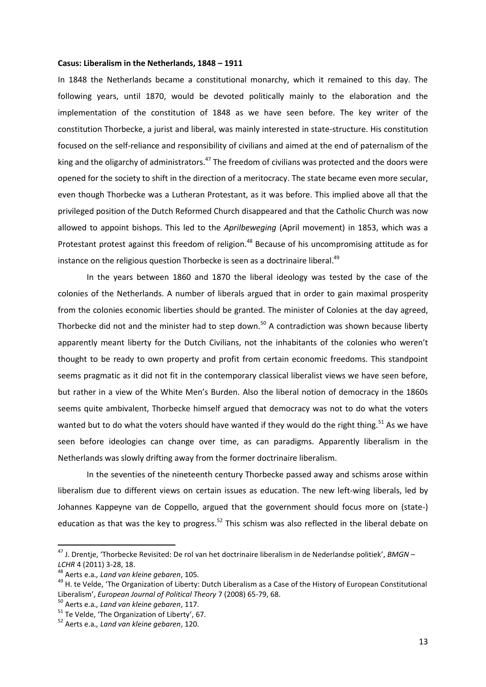### **Casus: Liberalism in the Netherlands, 1848 – 1911**

In 1848 the Netherlands became a constitutional monarchy, which it remained to this day. The following years, until 1870, would be devoted politically mainly to the elaboration and the implementation of the constitution of 1848 as we have seen before. The key writer of the constitution Thorbecke, a jurist and liberal, was mainly interested in state-structure. His constitution focused on the self-reliance and responsibility of civilians and aimed at the end of paternalism of the king and the oligarchy of administrators.<sup>47</sup> The freedom of civilians was protected and the doors were opened for the society to shift in the direction of a meritocracy. The state became even more secular, even though Thorbecke was a Lutheran Protestant, as it was before. This implied above all that the privileged position of the Dutch Reformed Church disappeared and that the Catholic Church was now allowed to appoint bishops. This led to the *Aprilbeweging* (April movement) in 1853, which was a Protestant protest against this freedom of religion.<sup>48</sup> Because of his uncompromising attitude as for instance on the religious question Thorbecke is seen as a doctrinaire liberal.<sup>49</sup>

In the years between 1860 and 1870 the liberal ideology was tested by the case of the colonies of the Netherlands. A number of liberals argued that in order to gain maximal prosperity from the colonies economic liberties should be granted. The minister of Colonies at the day agreed, Thorbecke did not and the minister had to step down.<sup>50</sup> A contradiction was shown because liberty apparently meant liberty for the Dutch Civilians, not the inhabitants of the colonies who weren't thought to be ready to own property and profit from certain economic freedoms. This standpoint seems pragmatic as it did not fit in the contemporary classical liberalist views we have seen before, but rather in a view of the White Men's Burden. Also the liberal notion of democracy in the 1860s seems quite ambivalent, Thorbecke himself argued that democracy was not to do what the voters wanted but to do what the voters should have wanted if they would do the right thing.<sup>51</sup> As we have seen before ideologies can change over time, as can paradigms. Apparently liberalism in the Netherlands was slowly drifting away from the former doctrinaire liberalism.

In the seventies of the nineteenth century Thorbecke passed away and schisms arose within liberalism due to different views on certain issues as education. The new left-wing liberals, led by Johannes Kappeyne van de Coppello, argued that the government should focus more on (state-) education as that was the key to progress.<sup>52</sup> This schism was also reflected in the liberal debate on

<sup>47</sup> J. Drentje, 'Thorbecke Revisited: De rol van het doctrinaire liberalism in de Nederlandse politiek', *BMGN – LCHR* 4 (2011) 3-28, 18.

<sup>48</sup> Aerts e.a*., Land van kleine gebaren*, 105.

<sup>&</sup>lt;sup>49</sup> H. te Velde, 'The Organization of Liberty: Dutch Liberalism as a Case of the History of European Constitutional Liberalism', *European Journal of Political Theory* 7 (2008) 65-79, 68.

<sup>50</sup> Aerts e.a*., Land van kleine gebaren*, 117.

<sup>51</sup> Te Velde, 'The Organization of Liberty', 67.

<sup>52</sup> Aerts e.a*., Land van kleine gebaren*, 120.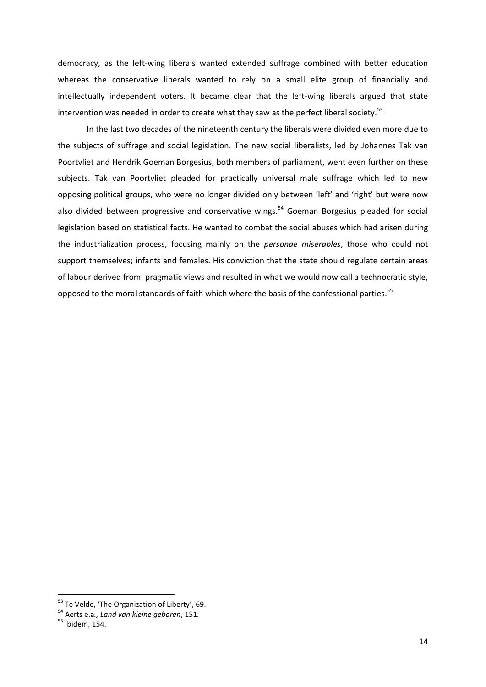democracy, as the left-wing liberals wanted extended suffrage combined with better education whereas the conservative liberals wanted to rely on a small elite group of financially and intellectually independent voters. It became clear that the left-wing liberals argued that state intervention was needed in order to create what they saw as the perfect liberal society.<sup>53</sup>

In the last two decades of the nineteenth century the liberals were divided even more due to the subjects of suffrage and social legislation. The new social liberalists, led by Johannes Tak van Poortvliet and Hendrik Goeman Borgesius, both members of parliament, went even further on these subjects. Tak van Poortvliet pleaded for practically universal male suffrage which led to new opposing political groups, who were no longer divided only between 'left' and 'right' but were now also divided between progressive and conservative wings.<sup>54</sup> Goeman Borgesius pleaded for social legislation based on statistical facts. He wanted to combat the social abuses which had arisen during the industrialization process, focusing mainly on the *personae miserables*, those who could not support themselves; infants and females. His conviction that the state should regulate certain areas of labour derived from pragmatic views and resulted in what we would now call a technocratic style, opposed to the moral standards of faith which where the basis of the confessional parties.<sup>55</sup>

 $53$  Te Velde, 'The Organization of Liberty', 69.

<sup>54</sup> Aerts e.a*., Land van kleine gebaren*, 151.

<sup>55</sup> Ibidem, 154.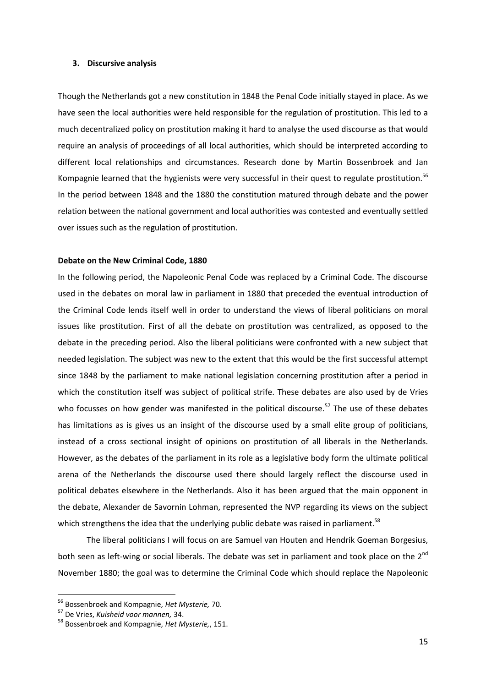#### **3. Discursive analysis**

Though the Netherlands got a new constitution in 1848 the Penal Code initially stayed in place. As we have seen the local authorities were held responsible for the regulation of prostitution. This led to a much decentralized policy on prostitution making it hard to analyse the used discourse as that would require an analysis of proceedings of all local authorities, which should be interpreted according to different local relationships and circumstances. Research done by Martin Bossenbroek and Jan Kompagnie learned that the hygienists were very successful in their quest to regulate prostitution.<sup>56</sup> In the period between 1848 and the 1880 the constitution matured through debate and the power relation between the national government and local authorities was contested and eventually settled over issues such as the regulation of prostitution.

#### **Debate on the New Criminal Code, 1880**

In the following period, the Napoleonic Penal Code was replaced by a Criminal Code. The discourse used in the debates on moral law in parliament in 1880 that preceded the eventual introduction of the Criminal Code lends itself well in order to understand the views of liberal politicians on moral issues like prostitution. First of all the debate on prostitution was centralized, as opposed to the debate in the preceding period. Also the liberal politicians were confronted with a new subject that needed legislation. The subject was new to the extent that this would be the first successful attempt since 1848 by the parliament to make national legislation concerning prostitution after a period in which the constitution itself was subject of political strife. These debates are also used by de Vries who focusses on how gender was manifested in the political discourse.<sup>57</sup> The use of these debates has limitations as is gives us an insight of the discourse used by a small elite group of politicians, instead of a cross sectional insight of opinions on prostitution of all liberals in the Netherlands. However, as the debates of the parliament in its role as a legislative body form the ultimate political arena of the Netherlands the discourse used there should largely reflect the discourse used in political debates elsewhere in the Netherlands. Also it has been argued that the main opponent in the debate, Alexander de Savornin Lohman, represented the NVP regarding its views on the subject which strengthens the idea that the underlying public debate was raised in parliament.<sup>58</sup>

The liberal politicians I will focus on are Samuel van Houten and Hendrik Goeman Borgesius, both seen as left-wing or social liberals. The debate was set in parliament and took place on the 2<sup>nd</sup> November 1880; the goal was to determine the Criminal Code which should replace the Napoleonic

<sup>56</sup> Bossenbroek and Kompagnie, *Het Mysterie,* 70.

<sup>57</sup> De Vries, *Kuisheid voor mannen,* 34.

<sup>58</sup> Bossenbroek and Kompagnie, *Het Mysterie,*, 151.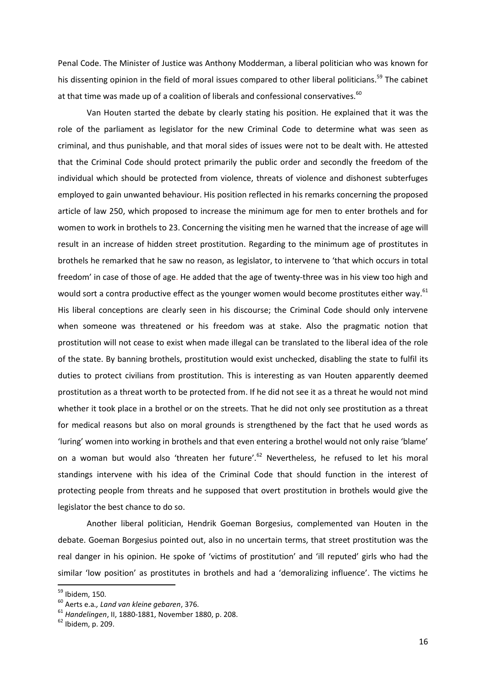Penal Code. The Minister of Justice was Anthony Modderman, a liberal politician who was known for his dissenting opinion in the field of moral issues compared to other liberal politicians.<sup>59</sup> The cabinet at that time was made up of a coalition of liberals and confessional conservatives. $^{60}$ 

Van Houten started the debate by clearly stating his position. He explained that it was the role of the parliament as legislator for the new Criminal Code to determine what was seen as criminal, and thus punishable, and that moral sides of issues were not to be dealt with. He attested that the Criminal Code should protect primarily the public order and secondly the freedom of the individual which should be protected from violence, threats of violence and dishonest subterfuges employed to gain unwanted behaviour. His position reflected in his remarks concerning the proposed article of law 250, which proposed to increase the minimum age for men to enter brothels and for women to work in brothels to 23. Concerning the visiting men he warned that the increase of age will result in an increase of hidden street prostitution. Regarding to the minimum age of prostitutes in brothels he remarked that he saw no reason, as legislator, to intervene to 'that which occurs in total freedom' in case of those of age. He added that the age of twenty-three was in his view too high and would sort a contra productive effect as the younger women would become prostitutes either way.<sup>61</sup> His liberal conceptions are clearly seen in his discourse; the Criminal Code should only intervene when someone was threatened or his freedom was at stake. Also the pragmatic notion that prostitution will not cease to exist when made illegal can be translated to the liberal idea of the role of the state. By banning brothels, prostitution would exist unchecked, disabling the state to fulfil its duties to protect civilians from prostitution. This is interesting as van Houten apparently deemed prostitution as a threat worth to be protected from. If he did not see it as a threat he would not mind whether it took place in a brothel or on the streets. That he did not only see prostitution as a threat for medical reasons but also on moral grounds is strengthened by the fact that he used words as 'luring' women into working in brothels and that even entering a brothel would not only raise 'blame' on a woman but would also 'threaten her future'.<sup>62</sup> Nevertheless, he refused to let his moral standings intervene with his idea of the Criminal Code that should function in the interest of protecting people from threats and he supposed that overt prostitution in brothels would give the legislator the best chance to do so.

Another liberal politician, Hendrik Goeman Borgesius, complemented van Houten in the debate. Goeman Borgesius pointed out, also in no uncertain terms, that street prostitution was the real danger in his opinion. He spoke of 'victims of prostitution' and 'ill reputed' girls who had the similar 'low position' as prostitutes in brothels and had a 'demoralizing influence'. The victims he

<sup>&</sup>lt;sup>59</sup> Ibidem, 150.

<sup>60</sup> Aerts e.a*., Land van kleine gebaren*, 376.

<sup>61</sup> *Handelingen*, II, 1880-1881, November 1880, p. 208.

 $62$  Ibidem, p. 209.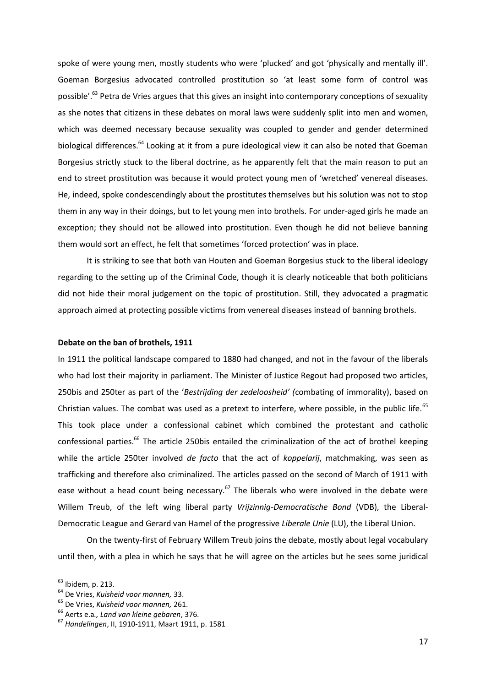spoke of were young men, mostly students who were 'plucked' and got 'physically and mentally ill'. Goeman Borgesius advocated controlled prostitution so 'at least some form of control was possible'.<sup>63</sup> Petra de Vries argues that this gives an insight into contemporary conceptions of sexuality as she notes that citizens in these debates on moral laws were suddenly split into men and women, which was deemed necessary because sexuality was coupled to gender and gender determined biological differences.<sup>64</sup> Looking at it from a pure ideological view it can also be noted that Goeman Borgesius strictly stuck to the liberal doctrine, as he apparently felt that the main reason to put an end to street prostitution was because it would protect young men of 'wretched' venereal diseases. He, indeed, spoke condescendingly about the prostitutes themselves but his solution was not to stop them in any way in their doings, but to let young men into brothels. For under-aged girls he made an exception; they should not be allowed into prostitution. Even though he did not believe banning them would sort an effect, he felt that sometimes 'forced protection' was in place.

It is striking to see that both van Houten and Goeman Borgesius stuck to the liberal ideology regarding to the setting up of the Criminal Code, though it is clearly noticeable that both politicians did not hide their moral judgement on the topic of prostitution. Still, they advocated a pragmatic approach aimed at protecting possible victims from venereal diseases instead of banning brothels.

## **Debate on the ban of brothels, 1911**

In 1911 the political landscape compared to 1880 had changed, and not in the favour of the liberals who had lost their majority in parliament. The Minister of Justice Regout had proposed two articles, 250bis and 250ter as part of the '*Bestrijding der zedeloosheid' (*combating of immorality), based on Christian values. The combat was used as a pretext to interfere, where possible, in the public life.<sup>65</sup> This took place under a confessional cabinet which combined the protestant and catholic confessional parties.<sup>66</sup> The article 250bis entailed the criminalization of the act of brothel keeping while the article 250ter involved *de facto* that the act of *koppelarij*, matchmaking, was seen as trafficking and therefore also criminalized. The articles passed on the second of March of 1911 with ease without a head count being necessary.<sup>67</sup> The liberals who were involved in the debate were Willem Treub, of the left wing liberal party *Vrijzinnig-Democratische Bond* (VDB), the Liberal-Democratic League and Gerard van Hamel of the progressive *Liberale Unie* (LU), the Liberal Union.

On the twenty-first of February Willem Treub joins the debate, mostly about legal vocabulary until then, with a plea in which he says that he will agree on the articles but he sees some juridical

 $\overline{a}$ 

<sup>&</sup>lt;sup>63</sup> Ibidem, p. 213.

<sup>64</sup> De Vries, *Kuisheid voor mannen,* 33.

<sup>65</sup> De Vries, *Kuisheid voor mannen,* 261.

<sup>66</sup> Aerts e.a*., Land van kleine gebaren*, 376.

<sup>67</sup> *Handelingen*, II, 1910-1911, Maart 1911, p. 1581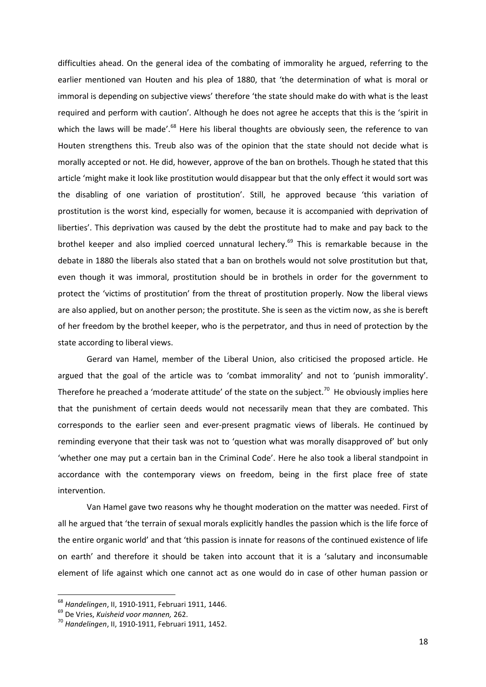difficulties ahead. On the general idea of the combating of immorality he argued, referring to the earlier mentioned van Houten and his plea of 1880, that 'the determination of what is moral or immoral is depending on subjective views' therefore 'the state should make do with what is the least required and perform with caution'. Although he does not agree he accepts that this is the 'spirit in which the laws will be made'.<sup>68</sup> Here his liberal thoughts are obviously seen, the reference to van Houten strengthens this. Treub also was of the opinion that the state should not decide what is morally accepted or not. He did, however, approve of the ban on brothels. Though he stated that this article 'might make it look like prostitution would disappear but that the only effect it would sort was the disabling of one variation of prostitution'. Still, he approved because 'this variation of prostitution is the worst kind, especially for women, because it is accompanied with deprivation of liberties'. This deprivation was caused by the debt the prostitute had to make and pay back to the brothel keeper and also implied coerced unnatural lechery.<sup>69</sup> This is remarkable because in the debate in 1880 the liberals also stated that a ban on brothels would not solve prostitution but that, even though it was immoral, prostitution should be in brothels in order for the government to protect the 'victims of prostitution' from the threat of prostitution properly. Now the liberal views are also applied, but on another person; the prostitute. She is seen as the victim now, as she is bereft of her freedom by the brothel keeper, who is the perpetrator, and thus in need of protection by the state according to liberal views.

Gerard van Hamel, member of the Liberal Union, also criticised the proposed article. He argued that the goal of the article was to 'combat immorality' and not to 'punish immorality'. Therefore he preached a 'moderate attitude' of the state on the subject.<sup>70</sup> He obviously implies here that the punishment of certain deeds would not necessarily mean that they are combated. This corresponds to the earlier seen and ever-present pragmatic views of liberals. He continued by reminding everyone that their task was not to 'question what was morally disapproved of' but only 'whether one may put a certain ban in the Criminal Code'. Here he also took a liberal standpoint in accordance with the contemporary views on freedom, being in the first place free of state intervention.

Van Hamel gave two reasons why he thought moderation on the matter was needed. First of all he argued that 'the terrain of sexual morals explicitly handles the passion which is the life force of the entire organic world' and that 'this passion is innate for reasons of the continued existence of life on earth' and therefore it should be taken into account that it is a 'salutary and inconsumable element of life against which one cannot act as one would do in case of other human passion or

<sup>68</sup> *Handelingen*, II, 1910-1911, Februari 1911, 1446.

<sup>69</sup> De Vries, *Kuisheid voor mannen,* 262.

<sup>70</sup> *Handelingen*, II, 1910-1911, Februari 1911, 1452.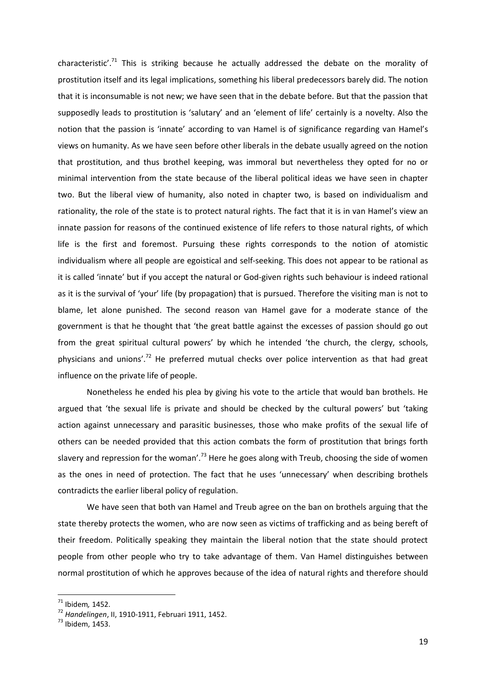characteristic'.<sup>71</sup> This is striking because he actually addressed the debate on the morality of prostitution itself and its legal implications, something his liberal predecessors barely did. The notion that it is inconsumable is not new; we have seen that in the debate before. But that the passion that supposedly leads to prostitution is 'salutary' and an 'element of life' certainly is a novelty. Also the notion that the passion is 'innate' according to van Hamel is of significance regarding van Hamel's views on humanity. As we have seen before other liberals in the debate usually agreed on the notion that prostitution, and thus brothel keeping, was immoral but nevertheless they opted for no or minimal intervention from the state because of the liberal political ideas we have seen in chapter two. But the liberal view of humanity, also noted in chapter two, is based on individualism and rationality, the role of the state is to protect natural rights. The fact that it is in van Hamel's view an innate passion for reasons of the continued existence of life refers to those natural rights, of which life is the first and foremost. Pursuing these rights corresponds to the notion of atomistic individualism where all people are egoistical and self-seeking. This does not appear to be rational as it is called 'innate' but if you accept the natural or God-given rights such behaviour is indeed rational as it is the survival of 'your' life (by propagation) that is pursued. Therefore the visiting man is not to blame, let alone punished. The second reason van Hamel gave for a moderate stance of the government is that he thought that 'the great battle against the excesses of passion should go out from the great spiritual cultural powers' by which he intended 'the church, the clergy, schools, physicians and unions'.<sup>72</sup> He preferred mutual checks over police intervention as that had great influence on the private life of people.

Nonetheless he ended his plea by giving his vote to the article that would ban brothels. He argued that 'the sexual life is private and should be checked by the cultural powers' but 'taking action against unnecessary and parasitic businesses, those who make profits of the sexual life of others can be needed provided that this action combats the form of prostitution that brings forth slavery and repression for the woman'.<sup>73</sup> Here he goes along with Treub, choosing the side of women as the ones in need of protection. The fact that he uses 'unnecessary' when describing brothels contradicts the earlier liberal policy of regulation.

We have seen that both van Hamel and Treub agree on the ban on brothels arguing that the state thereby protects the women, who are now seen as victims of trafficking and as being bereft of their freedom. Politically speaking they maintain the liberal notion that the state should protect people from other people who try to take advantage of them. Van Hamel distinguishes between normal prostitution of which he approves because of the idea of natural rights and therefore should

<sup>71</sup> Ibidem*,* 1452.

<sup>72</sup> *Handelingen*, II, 1910-1911, Februari 1911, 1452.

 $<sup>73</sup>$  Ibidem, 1453.</sup>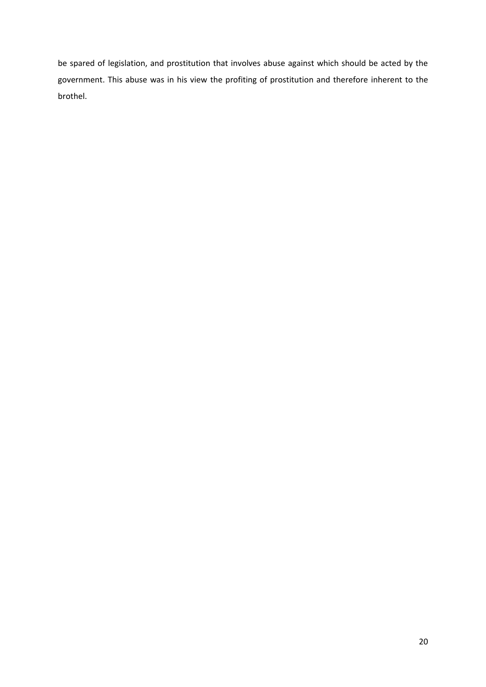be spared of legislation, and prostitution that involves abuse against which should be acted by the government. This abuse was in his view the profiting of prostitution and therefore inherent to the brothel.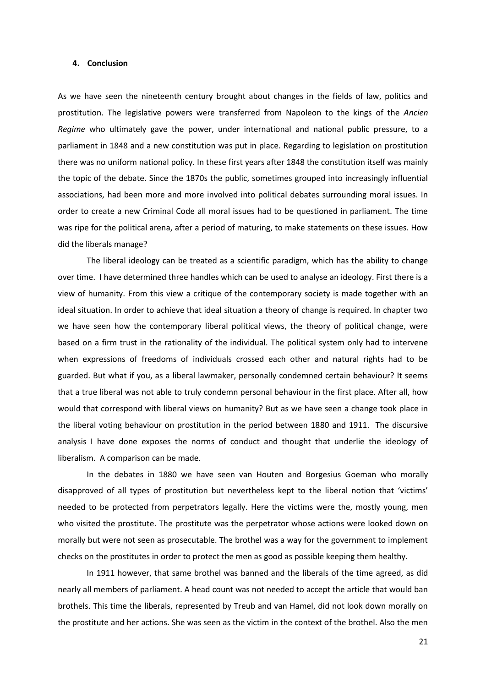### **4. Conclusion**

As we have seen the nineteenth century brought about changes in the fields of law, politics and prostitution. The legislative powers were transferred from Napoleon to the kings of the *Ancien Regime* who ultimately gave the power, under international and national public pressure, to a parliament in 1848 and a new constitution was put in place. Regarding to legislation on prostitution there was no uniform national policy. In these first years after 1848 the constitution itself was mainly the topic of the debate. Since the 1870s the public, sometimes grouped into increasingly influential associations, had been more and more involved into political debates surrounding moral issues. In order to create a new Criminal Code all moral issues had to be questioned in parliament. The time was ripe for the political arena, after a period of maturing, to make statements on these issues. How did the liberals manage?

The liberal ideology can be treated as a scientific paradigm, which has the ability to change over time. I have determined three handles which can be used to analyse an ideology. First there is a view of humanity. From this view a critique of the contemporary society is made together with an ideal situation. In order to achieve that ideal situation a theory of change is required. In chapter two we have seen how the contemporary liberal political views, the theory of political change, were based on a firm trust in the rationality of the individual. The political system only had to intervene when expressions of freedoms of individuals crossed each other and natural rights had to be guarded. But what if you, as a liberal lawmaker, personally condemned certain behaviour? It seems that a true liberal was not able to truly condemn personal behaviour in the first place. After all, how would that correspond with liberal views on humanity? But as we have seen a change took place in the liberal voting behaviour on prostitution in the period between 1880 and 1911. The discursive analysis I have done exposes the norms of conduct and thought that underlie the ideology of liberalism. A comparison can be made.

In the debates in 1880 we have seen van Houten and Borgesius Goeman who morally disapproved of all types of prostitution but nevertheless kept to the liberal notion that 'victims' needed to be protected from perpetrators legally. Here the victims were the, mostly young, men who visited the prostitute. The prostitute was the perpetrator whose actions were looked down on morally but were not seen as prosecutable. The brothel was a way for the government to implement checks on the prostitutes in order to protect the men as good as possible keeping them healthy.

In 1911 however, that same brothel was banned and the liberals of the time agreed, as did nearly all members of parliament. A head count was not needed to accept the article that would ban brothels. This time the liberals, represented by Treub and van Hamel, did not look down morally on the prostitute and her actions. She was seen as the victim in the context of the brothel. Also the men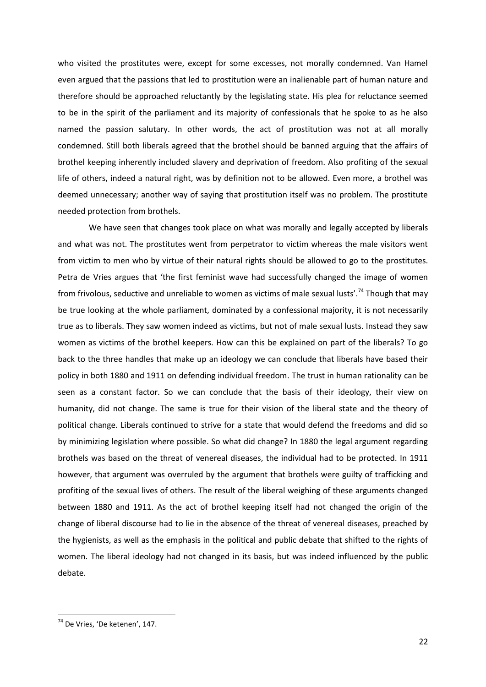who visited the prostitutes were, except for some excesses, not morally condemned. Van Hamel even argued that the passions that led to prostitution were an inalienable part of human nature and therefore should be approached reluctantly by the legislating state. His plea for reluctance seemed to be in the spirit of the parliament and its majority of confessionals that he spoke to as he also named the passion salutary. In other words, the act of prostitution was not at all morally condemned. Still both liberals agreed that the brothel should be banned arguing that the affairs of brothel keeping inherently included slavery and deprivation of freedom. Also profiting of the sexual life of others, indeed a natural right, was by definition not to be allowed. Even more, a brothel was deemed unnecessary; another way of saying that prostitution itself was no problem. The prostitute needed protection from brothels.

We have seen that changes took place on what was morally and legally accepted by liberals and what was not. The prostitutes went from perpetrator to victim whereas the male visitors went from victim to men who by virtue of their natural rights should be allowed to go to the prostitutes. Petra de Vries argues that 'the first feminist wave had successfully changed the image of women from frivolous, seductive and unreliable to women as victims of male sexual lusts'.<sup>74</sup> Though that mav be true looking at the whole parliament, dominated by a confessional majority, it is not necessarily true as to liberals. They saw women indeed as victims, but not of male sexual lusts. Instead they saw women as victims of the brothel keepers. How can this be explained on part of the liberals? To go back to the three handles that make up an ideology we can conclude that liberals have based their policy in both 1880 and 1911 on defending individual freedom. The trust in human rationality can be seen as a constant factor. So we can conclude that the basis of their ideology, their view on humanity, did not change. The same is true for their vision of the liberal state and the theory of political change. Liberals continued to strive for a state that would defend the freedoms and did so by minimizing legislation where possible. So what did change? In 1880 the legal argument regarding brothels was based on the threat of venereal diseases, the individual had to be protected. In 1911 however, that argument was overruled by the argument that brothels were guilty of trafficking and profiting of the sexual lives of others. The result of the liberal weighing of these arguments changed between 1880 and 1911. As the act of brothel keeping itself had not changed the origin of the change of liberal discourse had to lie in the absence of the threat of venereal diseases, preached by the hygienists, as well as the emphasis in the political and public debate that shifted to the rights of women. The liberal ideology had not changed in its basis, but was indeed influenced by the public debate.

<sup>&</sup>lt;sup>74</sup> De Vries, 'De ketenen', 147.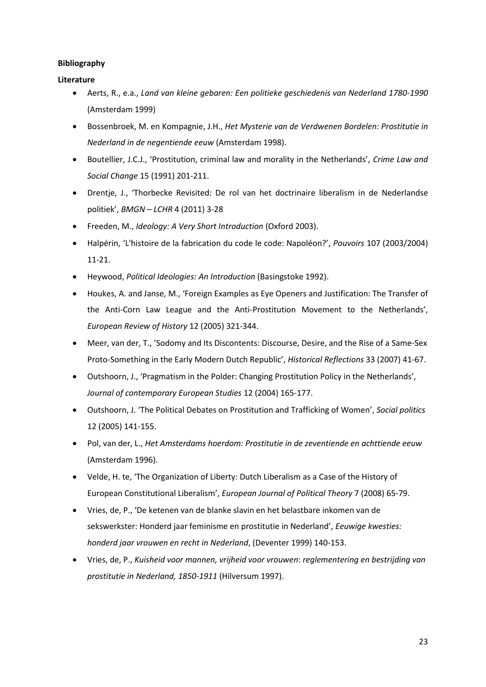# **Bibliography**

# **Literature**

- Aerts, R., e.a., *Land van kleine gebaren: Een politieke geschiedenis van Nederland 1780-1990* (Amsterdam 1999)
- Bossenbroek, M. en Kompagnie, J.H., *Het Mysterie van de Verdwenen Bordelen: Prostitutie in Nederland in de negentiende eeuw* (Amsterdam 1998).
- Boutellier, J.C.J., 'Prostitution, criminal law and morality in the Netherlands', *Crime Law and Social Change* 15 (1991) 201-211.
- Drentje, J., 'Thorbecke Revisited: De rol van het doctrinaire liberalism in de Nederlandse politiek', *BMGN – LCHR* 4 (2011) 3-28
- Freeden, M., *Ideology: A Very Short Introduction* (Oxford 2003).
- Halpérin, 'L'histoire de la fabrication du code le code: Napoléon?', *Pouvoirs* 107 (2003/2004) 11-21.
- Heywood, *Political Ideologies: An Introduction* (Basingstoke 1992).
- Houkes, A. and Janse, M., 'Foreign Examples as Eye Openers and Justification: The Transfer of the Anti-Corn Law League and the Anti-Prostitution Movement to the Netherlands', *European Review of History* 12 (2005) 321-344.
- Meer, van der, T., 'Sodomy and Its Discontents: Discourse, Desire, and the Rise of a Same-Sex Proto-Something in the Early Modern Dutch Republic', *Historical Reflections* 33 (2007) 41-67.
- Outshoorn, J., 'Pragmatism in the Polder: Changing Prostitution Policy in the Netherlands', *Journal of contemporary European Studies* 12 (2004) 165-177.
- Outshoorn, J. 'The Political Debates on Prostitution and Trafficking of Women', *Social politics* 12 (2005) 141-155.
- Pol, van der, L., *Het Amsterdams hoerdom: Prostitutie in de zeventiende en achttiende eeuw* (Amsterdam 1996).
- Velde, H. te, 'The Organization of Liberty: Dutch Liberalism as a Case of the History of European Constitutional Liberalism', *European Journal of Political Theory* 7 (2008) 65-79.
- Vries, de, P., 'De ketenen van de blanke slavin en het belastbare inkomen van de sekswerkster: Honderd jaar feminisme en prostitutie in Nederland', *Eeuwige kwesties: honderd jaar vrouwen en recht in Nederland*, (Deventer 1999) 140-153.
- Vries, de, P., *Kuisheid voor mannen, vrijheid voor vrouwen*: *reglementering en bestrijding van prostitutie in Nederland, 1850-1911* (Hilversum 1997).